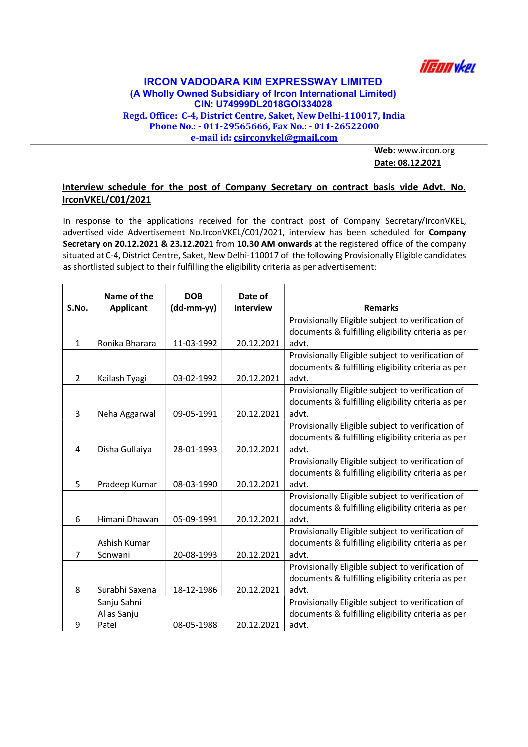

## IRCON VADODARA KIM EXPRESSWAY LIMITED (A Wholly Owned Subsidiary of Ircon International Limited) CIN: U74999DL2018GOI334028 Regd. Office: C-4, District Centre, Saket, New Delhi-110017, India Phone No.: - 011-29565666, Fax No.: - 011-26522000 e-mail id: csirconvkel@gmail.com

Web: www.ircon.org Date: 08.12.2021

## Interview schedule for the post of Company Secretary on contract basis vide Advt. No. IrconVKEL/C01/2021

In response to the applications received for the contract post of Company Secretary/IrconVKEL, advertised vide Advertisement No.IrconVKEL/C01/2021, interview has been scheduled for Company Secretary on 20.12.2021 & 23.12.2021 from 10.30 AM onwards at the registered office of the company situated at C-4, District Centre, Saket, New Delhi-110017 of the following Provisionally Eligible candidates as shortlisted subject to their fulfilling the eligibility criteria as per advertisement:

|                | Name of the      | <b>DOB</b> | Date of          |                                                    |
|----------------|------------------|------------|------------------|----------------------------------------------------|
| S.No.          | <b>Applicant</b> | (dd-mm-yy) | <b>Interview</b> | <b>Remarks</b>                                     |
|                |                  |            |                  | Provisionally Eligible subject to verification of  |
|                |                  |            |                  | documents & fulfilling eligibility criteria as per |
| $\mathbf{1}$   | Ronika Bharara   | 11-03-1992 | 20.12.2021       | advt.                                              |
|                |                  |            |                  | Provisionally Eligible subject to verification of  |
|                |                  |            |                  | documents & fulfilling eligibility criteria as per |
| $\overline{2}$ | Kailash Tyagi    | 03-02-1992 | 20.12.2021       | advt.                                              |
|                |                  |            |                  | Provisionally Eligible subject to verification of  |
|                |                  |            |                  | documents & fulfilling eligibility criteria as per |
| 3              | Neha Aggarwal    | 09-05-1991 | 20.12.2021       | advt.                                              |
|                |                  |            |                  | Provisionally Eligible subject to verification of  |
|                |                  |            |                  | documents & fulfilling eligibility criteria as per |
| 4              | Disha Gullaiya   | 28-01-1993 | 20.12.2021       | advt.                                              |
|                |                  |            |                  | Provisionally Eligible subject to verification of  |
|                |                  |            |                  | documents & fulfilling eligibility criteria as per |
| 5              | Pradeep Kumar    | 08-03-1990 | 20.12.2021       | advt.                                              |
|                |                  |            |                  | Provisionally Eligible subject to verification of  |
|                |                  |            |                  | documents & fulfilling eligibility criteria as per |
| 6              | Himani Dhawan    | 05-09-1991 | 20.12.2021       | advt.                                              |
|                |                  |            |                  | Provisionally Eligible subject to verification of  |
|                | Ashish Kumar     |            |                  | documents & fulfilling eligibility criteria as per |
| 7              | Sonwani          | 20-08-1993 | 20.12.2021       | advt.                                              |
|                |                  |            |                  | Provisionally Eligible subject to verification of  |
|                |                  |            |                  | documents & fulfilling eligibility criteria as per |
| 8              | Surabhi Saxena   | 18-12-1986 | 20.12.2021       | advt.                                              |
|                | Sanju Sahni      |            |                  | Provisionally Eligible subject to verification of  |
|                | Alias Sanju      |            |                  | documents & fulfilling eligibility criteria as per |
| 9              | Patel            | 08-05-1988 | 20.12.2021       | advt.                                              |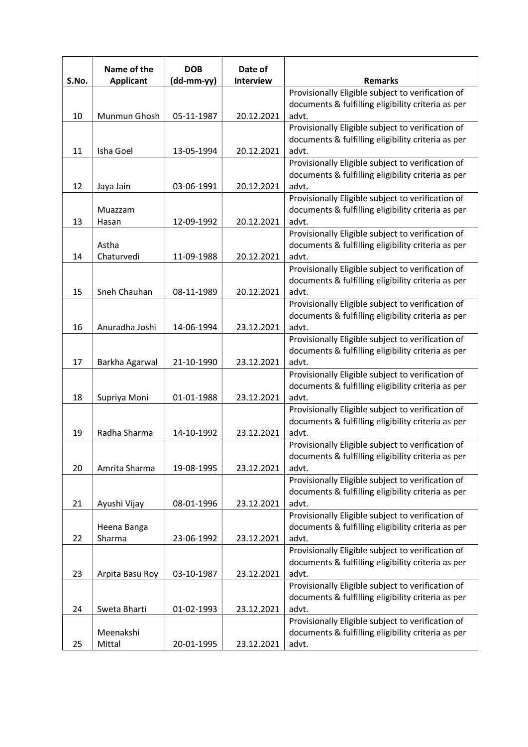| S.No. | Name of the<br><b>Applicant</b> | <b>DOB</b><br>(dd-mm-yy) | Date of<br>Interview | <b>Remarks</b>                                                                                          |
|-------|---------------------------------|--------------------------|----------------------|---------------------------------------------------------------------------------------------------------|
|       |                                 |                          |                      | Provisionally Eligible subject to verification of                                                       |
|       |                                 |                          |                      | documents & fulfilling eligibility criteria as per                                                      |
| 10    | Munmun Ghosh                    | 05-11-1987               | 20.12.2021           | advt.                                                                                                   |
|       |                                 |                          |                      | Provisionally Eligible subject to verification of                                                       |
|       |                                 |                          |                      | documents & fulfilling eligibility criteria as per                                                      |
| 11    | Isha Goel                       | 13-05-1994               | 20.12.2021           | advt.                                                                                                   |
|       |                                 |                          |                      | Provisionally Eligible subject to verification of                                                       |
|       |                                 |                          |                      | documents & fulfilling eligibility criteria as per                                                      |
| 12    | Jaya Jain                       | 03-06-1991               | 20.12.2021           | advt.                                                                                                   |
|       |                                 |                          |                      | Provisionally Eligible subject to verification of                                                       |
|       | Muazzam                         |                          |                      | documents & fulfilling eligibility criteria as per                                                      |
| 13    | Hasan                           | 12-09-1992               | 20.12.2021           | advt.                                                                                                   |
|       |                                 |                          |                      | Provisionally Eligible subject to verification of                                                       |
|       | Astha                           |                          |                      | documents & fulfilling eligibility criteria as per                                                      |
| 14    | Chaturvedi                      | 11-09-1988               | 20.12.2021           | advt.                                                                                                   |
|       |                                 |                          |                      | Provisionally Eligible subject to verification of                                                       |
|       |                                 |                          |                      | documents & fulfilling eligibility criteria as per                                                      |
| 15    | Sneh Chauhan                    | 08-11-1989               | 20.12.2021           | advt.                                                                                                   |
|       |                                 |                          |                      | Provisionally Eligible subject to verification of<br>documents & fulfilling eligibility criteria as per |
| 16    | Anuradha Joshi                  | 14-06-1994               | 23.12.2021           | advt.                                                                                                   |
|       |                                 |                          |                      | Provisionally Eligible subject to verification of                                                       |
|       |                                 |                          |                      | documents & fulfilling eligibility criteria as per                                                      |
| 17    | Barkha Agarwal                  | 21-10-1990               | 23.12.2021           | advt.                                                                                                   |
|       |                                 |                          |                      | Provisionally Eligible subject to verification of                                                       |
|       |                                 |                          |                      | documents & fulfilling eligibility criteria as per                                                      |
| 18    | Supriya Moni                    | 01-01-1988               | 23.12.2021           | advt.                                                                                                   |
|       |                                 |                          |                      | Provisionally Eligible subject to verification of                                                       |
|       |                                 |                          |                      | documents & fulfilling eligibility criteria as per                                                      |
| 19    | Radha Sharma                    | 14-10-1992               | 23.12.2021           | advt.                                                                                                   |
|       |                                 |                          |                      | Provisionally Eligible subject to verification of                                                       |
|       |                                 |                          |                      | documents & fulfilling eligibility criteria as per                                                      |
| 20    | Amrita Sharma                   | 19-08-1995               | 23.12.2021           | advt.                                                                                                   |
|       |                                 |                          |                      | Provisionally Eligible subject to verification of                                                       |
|       |                                 |                          |                      | documents & fulfilling eligibility criteria as per                                                      |
| 21    | Ayushi Vijay                    | 08-01-1996               | 23.12.2021           | advt.                                                                                                   |
|       |                                 |                          |                      | Provisionally Eligible subject to verification of                                                       |
|       | Heena Banga                     |                          |                      | documents & fulfilling eligibility criteria as per                                                      |
| 22    | Sharma                          | 23-06-1992               | 23.12.2021           | advt.                                                                                                   |
|       |                                 |                          |                      | Provisionally Eligible subject to verification of                                                       |
|       |                                 |                          |                      | documents & fulfilling eligibility criteria as per<br>advt.                                             |
| 23    | Arpita Basu Roy                 | 03-10-1987               | 23.12.2021           | Provisionally Eligible subject to verification of                                                       |
|       |                                 |                          |                      | documents & fulfilling eligibility criteria as per                                                      |
| 24    | Sweta Bharti                    | 01-02-1993               | 23.12.2021           | advt.                                                                                                   |
|       |                                 |                          |                      | Provisionally Eligible subject to verification of                                                       |
|       | Meenakshi                       |                          |                      | documents & fulfilling eligibility criteria as per                                                      |
| 25    | Mittal                          | 20-01-1995               | 23.12.2021           | advt.                                                                                                   |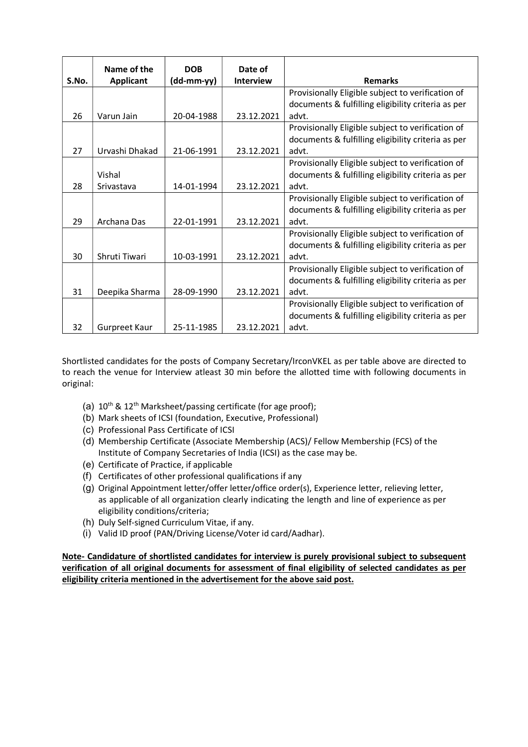|       | Name of the      | <b>DOB</b>   | Date of          |                                                    |
|-------|------------------|--------------|------------------|----------------------------------------------------|
| S.No. | <b>Applicant</b> | $(dd-mm-yy)$ | <b>Interview</b> | <b>Remarks</b>                                     |
|       |                  |              |                  | Provisionally Eligible subject to verification of  |
|       |                  |              |                  | documents & fulfilling eligibility criteria as per |
| 26    | Varun Jain       | 20-04-1988   | 23.12.2021       | advt.                                              |
|       |                  |              |                  | Provisionally Eligible subject to verification of  |
|       |                  |              |                  | documents & fulfilling eligibility criteria as per |
| 27    | Urvashi Dhakad   | 21-06-1991   | 23.12.2021       | advt.                                              |
|       |                  |              |                  | Provisionally Eligible subject to verification of  |
|       | Vishal           |              |                  | documents & fulfilling eligibility criteria as per |
| 28    | Srivastava       | 14-01-1994   | 23.12.2021       | advt.                                              |
|       |                  |              |                  | Provisionally Eligible subject to verification of  |
|       |                  |              |                  | documents & fulfilling eligibility criteria as per |
| 29    | Archana Das      | 22-01-1991   | 23.12.2021       | advt.                                              |
|       |                  |              |                  | Provisionally Eligible subject to verification of  |
|       |                  |              |                  | documents & fulfilling eligibility criteria as per |
| 30    | Shruti Tiwari    | 10-03-1991   | 23.12.2021       | advt.                                              |
|       |                  |              |                  | Provisionally Eligible subject to verification of  |
|       |                  |              |                  | documents & fulfilling eligibility criteria as per |
| 31    | Deepika Sharma   | 28-09-1990   | 23.12.2021       | advt.                                              |
|       |                  |              |                  | Provisionally Eligible subject to verification of  |
|       |                  |              |                  | documents & fulfilling eligibility criteria as per |
| 32    | Gurpreet Kaur    | 25-11-1985   | 23.12.2021       | advt.                                              |

Shortlisted candidates for the posts of Company Secretary/IrconVKEL as per table above are directed to to reach the venue for Interview atleast 30 min before the allotted time with following documents in original:

- (a)  $10^{\text{th}}$  &  $12^{\text{th}}$  Marksheet/passing certificate (for age proof);
- (b) Mark sheets of ICSI (foundation, Executive, Professional)
- (c) Professional Pass Certificate of ICSI
- (d) Membership Certificate (Associate Membership (ACS)/ Fellow Membership (FCS) of the Institute of Company Secretaries of India (ICSI) as the case may be.
- (e) Certificate of Practice, if applicable
- (f) Certificates of other professional qualifications if any
- (g) Original Appointment letter/offer letter/office order(s), Experience letter, relieving letter, as applicable of all organization clearly indicating the length and line of experience as per eligibility conditions/criteria;
- (h) Duly Self-signed Curriculum Vitae, if any.
- (i) Valid ID proof (PAN/Driving License/Voter id card/Aadhar).

Note- Candidature of shortlisted candidates for interview is purely provisional subject to subsequent verification of all original documents for assessment of final eligibility of selected candidates as per eligibility criteria mentioned in the advertisement for the above said post.